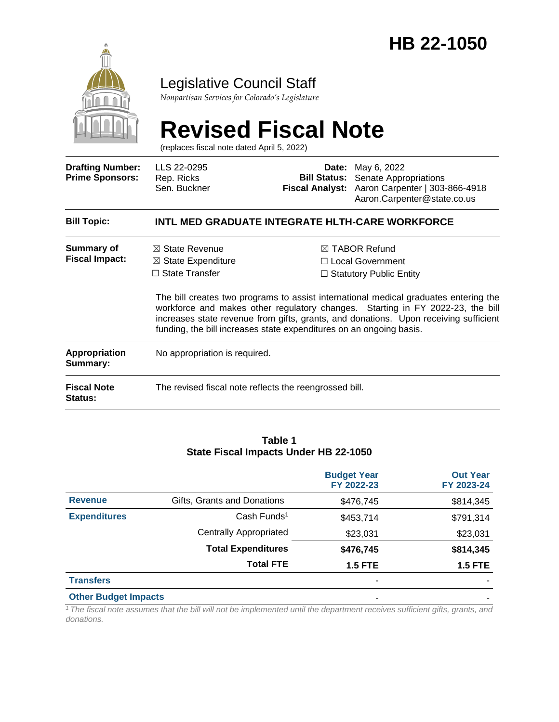

### Legislative Council Staff

*Nonpartisan Services for Colorado's Legislature*

#### **Revised Fiscal Note** (replaces fiscal note dated April 5, 2022) **Drafting Number: Prime Sponsors:** LLS 22-0295 Rep. Ricks Sen. Buckner **Date:** May 6, 2022 **Bill Status:** Senate Appropriations **Fiscal Analyst:** Aaron Carpenter | 303-866-4918 Aaron.Carpenter@state.co.us **Bill Topic: INTL MED GRADUATE INTEGRATE HLTH-CARE WORKFORCE Summary of Fiscal Impact:** ☒ State Revenue ☒ State Expenditure ☐ State Transfer ☒ TABOR Refund ☐ Local Government ☐ Statutory Public Entity The bill creates two programs to assist international medical graduates entering the workforce and makes other regulatory changes. Starting in FY 2022-23, the bill increases state revenue from gifts, grants, and donations. Upon receiving sufficient funding, the bill increases state expenditures on an ongoing basis. **Appropriation Summary:** No appropriation is required. **Fiscal Note Status:** The revised fiscal note reflects the reengrossed bill.

#### **Table 1 State Fiscal Impacts Under HB 22-1050**

|                             |                               | <b>Budget Year</b><br>FY 2022-23 | <b>Out Year</b><br>FY 2023-24 |
|-----------------------------|-------------------------------|----------------------------------|-------------------------------|
| <b>Revenue</b>              | Gifts, Grants and Donations   | \$476,745                        | \$814,345                     |
| <b>Expenditures</b>         | Cash Funds <sup>1</sup>       | \$453,714                        | \$791,314                     |
|                             | <b>Centrally Appropriated</b> | \$23,031                         | \$23,031                      |
|                             | <b>Total Expenditures</b>     | \$476,745                        | \$814,345                     |
|                             | <b>Total FTE</b>              | <b>1.5 FTE</b>                   | <b>1.5 FTE</b>                |
| <b>Transfers</b>            |                               | ۰                                |                               |
| <b>Other Budget Impacts</b> |                               | ۰                                |                               |

*<sup>1</sup>The fiscal note assumes that the bill will not be implemented until the department receives sufficient gifts, grants, and donations.*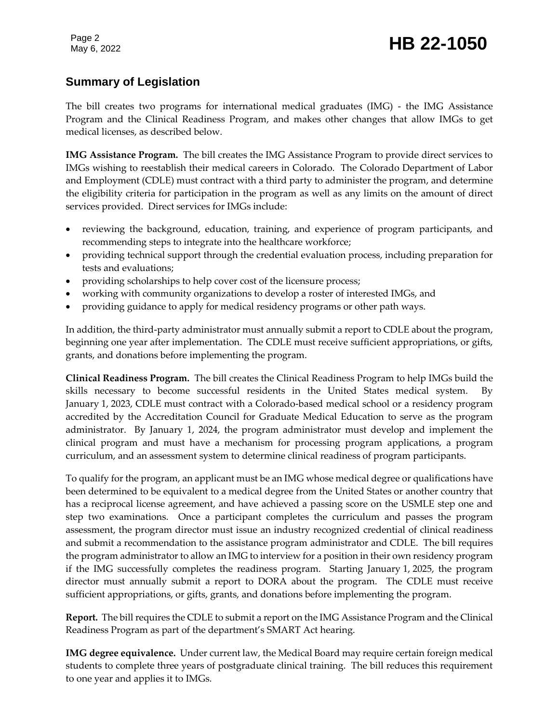# Page 2<br>May 6, 2022 **HB 22-1050**

### **Summary of Legislation**

The bill creates two programs for international medical graduates (IMG) - the IMG Assistance Program and the Clinical Readiness Program, and makes other changes that allow IMGs to get medical licenses, as described below.

**IMG Assistance Program.** The bill creates the IMG Assistance Program to provide direct services to IMGs wishing to reestablish their medical careers in Colorado. The Colorado Department of Labor and Employment (CDLE) must contract with a third party to administer the program, and determine the eligibility criteria for participation in the program as well as any limits on the amount of direct services provided. Direct services for IMGs include:

- reviewing the background, education, training, and experience of program participants, and recommending steps to integrate into the healthcare workforce;
- providing technical support through the credential evaluation process, including preparation for tests and evaluations;
- providing scholarships to help cover cost of the licensure process;
- working with community organizations to develop a roster of interested IMGs, and
- providing guidance to apply for medical residency programs or other path ways.

In addition, the third-party administrator must annually submit a report to CDLE about the program, beginning one year after implementation. The CDLE must receive sufficient appropriations, or gifts, grants, and donations before implementing the program.

**Clinical Readiness Program.** The bill creates the Clinical Readiness Program to help IMGs build the skills necessary to become successful residents in the United States medical system. By January 1, 2023, CDLE must contract with a Colorado-based medical school or a residency program accredited by the Accreditation Council for Graduate Medical Education to serve as the program administrator. By January 1, 2024, the program administrator must develop and implement the clinical program and must have a mechanism for processing program applications, a program curriculum, and an assessment system to determine clinical readiness of program participants.

To qualify for the program, an applicant must be an IMG whose medical degree or qualifications have been determined to be equivalent to a medical degree from the United States or another country that has a reciprocal license agreement, and have achieved a passing score on the USMLE step one and step two examinations. Once a participant completes the curriculum and passes the program assessment, the program director must issue an industry recognized credential of clinical readiness and submit a recommendation to the assistance program administrator and CDLE. The bill requires the program administrator to allow an IMG to interview for a position in their own residency program if the IMG successfully completes the readiness program. Starting January 1, 2025, the program director must annually submit a report to DORA about the program. The CDLE must receive sufficient appropriations, or gifts, grants, and donations before implementing the program.

**Report.** The bill requires the CDLE to submit a report on the IMG Assistance Program and the Clinical Readiness Program as part of the department's SMART Act hearing.

**IMG degree equivalence.** Under current law, the Medical Board may require certain foreign medical students to complete three years of postgraduate clinical training. The bill reduces this requirement to one year and applies it to IMGs.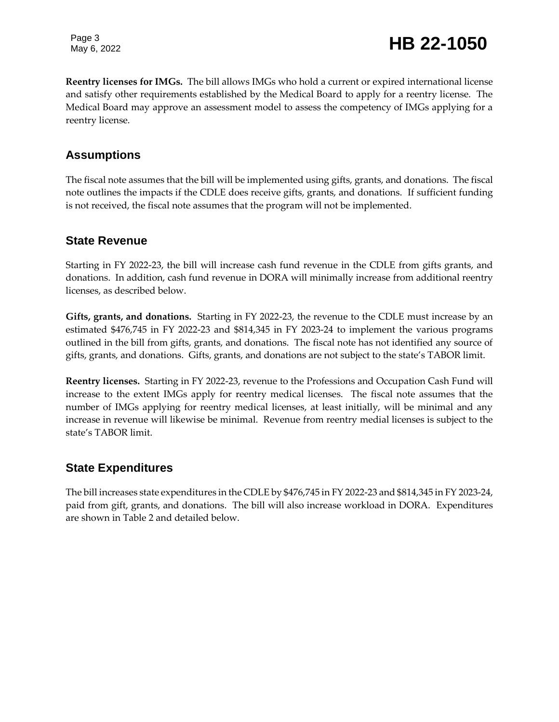Page 3

**Reentry licenses for IMGs.** The bill allows IMGs who hold a current or expired international license and satisfy other requirements established by the Medical Board to apply for a reentry license. The Medical Board may approve an assessment model to assess the competency of IMGs applying for a reentry license.

#### **Assumptions**

The fiscal note assumes that the bill will be implemented using gifts, grants, and donations. The fiscal note outlines the impacts if the CDLE does receive gifts, grants, and donations. If sufficient funding is not received, the fiscal note assumes that the program will not be implemented.

#### **State Revenue**

Starting in FY 2022-23, the bill will increase cash fund revenue in the CDLE from gifts grants, and donations. In addition, cash fund revenue in DORA will minimally increase from additional reentry licenses, as described below.

**Gifts, grants, and donations.** Starting in FY 2022-23, the revenue to the CDLE must increase by an estimated \$476,745 in FY 2022-23 and \$814,345 in FY 2023-24 to implement the various programs outlined in the bill from gifts, grants, and donations. The fiscal note has not identified any source of gifts, grants, and donations. Gifts, grants, and donations are not subject to the state's TABOR limit.

**Reentry licenses.** Starting in FY 2022-23, revenue to the Professions and Occupation Cash Fund will increase to the extent IMGs apply for reentry medical licenses. The fiscal note assumes that the number of IMGs applying for reentry medical licenses, at least initially, will be minimal and any increase in revenue will likewise be minimal. Revenue from reentry medial licenses is subject to the state's TABOR limit.

#### **State Expenditures**

The bill increases state expenditures in the CDLE by \$476,745 in FY 2022-23 and \$814,345 in FY 2023-24, paid from gift, grants, and donations. The bill will also increase workload in DORA. Expenditures are shown in Table 2 and detailed below.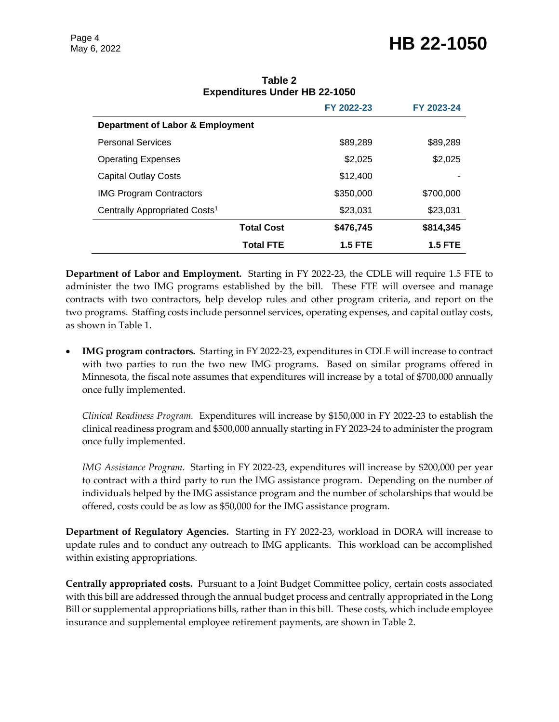## Page 4<br>May 6, 2022 **HB 22-1050**

|                                           | FY 2022-23     | FY 2023-24     |  |  |
|-------------------------------------------|----------------|----------------|--|--|
| Department of Labor & Employment          |                |                |  |  |
| <b>Personal Services</b>                  | \$89,289       | \$89,289       |  |  |
| <b>Operating Expenses</b>                 | \$2,025        | \$2,025        |  |  |
| <b>Capital Outlay Costs</b>               | \$12,400       |                |  |  |
| <b>IMG Program Contractors</b>            | \$350,000      | \$700,000      |  |  |
| Centrally Appropriated Costs <sup>1</sup> | \$23,031       | \$23,031       |  |  |
| <b>Total Cost</b>                         | \$476,745      | \$814,345      |  |  |
| <b>Total FTE</b>                          | <b>1.5 FTE</b> | <b>1.5 FTE</b> |  |  |

#### **Table 2 Expenditures Under HB 22-1050**

**Department of Labor and Employment.** Starting in FY 2022-23, the CDLE will require 1.5 FTE to administer the two IMG programs established by the bill. These FTE will oversee and manage contracts with two contractors, help develop rules and other program criteria, and report on the two programs. Staffing costs include personnel services, operating expenses, and capital outlay costs, as shown in Table 1.

 **IMG program contractors.** Starting in FY 2022-23, expenditures in CDLE will increase to contract with two parties to run the two new IMG programs. Based on similar programs offered in Minnesota, the fiscal note assumes that expenditures will increase by a total of \$700,000 annually once fully implemented.

*Clinical Readiness Program.* Expenditures will increase by \$150,000 in FY 2022-23 to establish the clinical readiness program and \$500,000 annually starting in FY 2023-24 to administer the program once fully implemented.

*IMG Assistance Program.* Starting in FY 2022-23, expenditures will increase by \$200,000 per year to contract with a third party to run the IMG assistance program. Depending on the number of individuals helped by the IMG assistance program and the number of scholarships that would be offered, costs could be as low as \$50,000 for the IMG assistance program.

**Department of Regulatory Agencies.** Starting in FY 2022-23, workload in DORA will increase to update rules and to conduct any outreach to IMG applicants. This workload can be accomplished within existing appropriations.

**Centrally appropriated costs.** Pursuant to a Joint Budget Committee policy, certain costs associated with this bill are addressed through the annual budget process and centrally appropriated in the Long Bill or supplemental appropriations bills, rather than in this bill. These costs, which include employee insurance and supplemental employee retirement payments, are shown in Table 2.